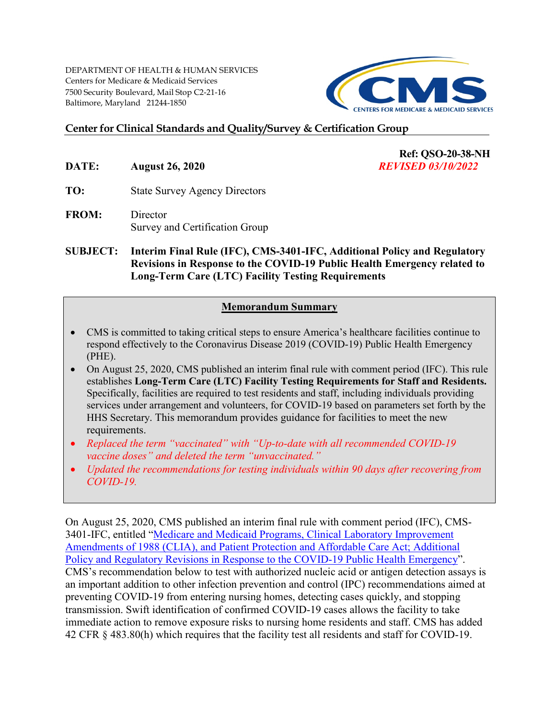DEPARTMENT OF HEALTH & HUMAN SERVICES Centers for Medicare & Medicaid Services 7500 Security Boulevard, Mail Stop C2-21-16 Baltimore, Maryland 21244-1850



**Ref: QSO-20-38-NH** 

### **Center for Clinical Standards and Quality/Survey & Certification Group**

- **DATE: August 26, 2020** *REVISED 03/10/2022*
- **TO:** State Survey Agency Directors
- **FROM:** Director Survey and Certification Group

**SUBJECT: Interim Final Rule (IFC), CMS-3401-IFC, Additional Policy and Regulatory Revisions in Response to the COVID-19 Public Health Emergency related to Long-Term Care (LTC) Facility Testing Requirements** 

#### **Memorandum Summary**

- CMS is committed to taking critical steps to ensure America's healthcare facilities continue to respond effectively to the Coronavirus Disease 2019 (COVID-19) Public Health Emergency (PHE).
- On August 25, 2020, CMS published an interim final rule with comment period (IFC). This rule establishes **Long-Term Care (LTC) Facility Testing Requirements for Staff and Residents.**  Specifically, facilities are required to test residents and staff, including individuals providing services under arrangement and volunteers, for COVID-19 based on parameters set forth by the HHS Secretary. This memorandum provides guidance for facilities to meet the new requirements.
- *Replaced the term "vaccinated" with "Up-to-date with all recommended COVID-19 vaccine doses" and deleted the term "unvaccinated."*
- *Updated the recommendations for testing individuals within 90 days after recovering from COVID-19.*

On August 25, 2020, CMS published an interim final rule with comment period (IFC), CMS-3401-IFC, entitled ["Medicare and Medicaid Programs, Clinical Laboratory Improvement](https://www.cms.gov/files/document/covid-ifc-3-8-25-20.pdf)  [Amendments of 1988 \(CLIA\), and Patient Protection and Affordable Care Act; Additional](https://www.cms.gov/files/document/covid-ifc-3-8-25-20.pdf)  [Policy and Regulatory Revisions in Response to the COVID-19 Public Health Emergency"](https://www.cms.gov/files/document/covid-ifc-3-8-25-20.pdf). CMS's recommendation below to test with authorized nucleic acid or antigen detection assays is an important addition to other infection prevention and control (IPC) recommendations aimed at preventing COVID-19 from entering nursing homes, detecting cases quickly, and stopping transmission. Swift identification of confirmed COVID-19 cases allows the facility to take immediate action to remove exposure risks to nursing home residents and staff. CMS has added 42 CFR § 483.80(h) which requires that the facility test all residents and staff for COVID-19.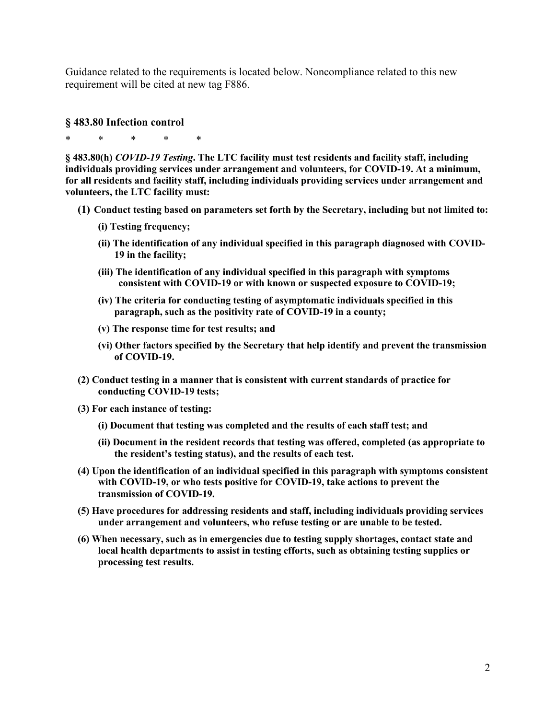Guidance related to the requirements is located below. Noncompliance related to this new requirement will be cited at new tag F886.

#### **§ 483.80 Infection control**

\* \* \* \* \*

**§ 483.80(h)** *COVID-19 Testing***. The LTC facility must test residents and facility staff, including individuals providing services under arrangement and volunteers, for COVID-19. At a minimum, for all residents and facility staff, including individuals providing services under arrangement and volunteers, the LTC facility must:** 

- **(1) Conduct testing based on parameters set forth by the Secretary, including but not limited to:**
	- **(i) Testing frequency;**
	- **(ii) The identification of any individual specified in this paragraph diagnosed with COVID-19 in the facility;**
	- **(iii) The identification of any individual specified in this paragraph with symptoms consistent with COVID-19 or with known or suspected exposure to COVID-19;**
	- **(iv) The criteria for conducting testing of asymptomatic individuals specified in this paragraph, such as the positivity rate of COVID-19 in a county;**
	- **(v) The response time for test results; and**
	- **(vi) Other factors specified by the Secretary that help identify and prevent the transmission of COVID-19.**
- **(2) Conduct testing in a manner that is consistent with current standards of practice for conducting COVID-19 tests;**
- **(3) For each instance of testing:** 
	- **(i) Document that testing was completed and the results of each staff test; and**
	- **(ii) Document in the resident records that testing was offered, completed (as appropriate to the resident's testing status), and the results of each test.**
- **(4) Upon the identification of an individual specified in this paragraph with symptoms consistent with COVID-19, or who tests positive for COVID-19, take actions to prevent the transmission of COVID-19.**
- **(5) Have procedures for addressing residents and staff, including individuals providing services under arrangement and volunteers, who refuse testing or are unable to be tested.**
- **(6) When necessary, such as in emergencies due to testing supply shortages, contact state and local health departments to assist in testing efforts, such as obtaining testing supplies or processing test results.**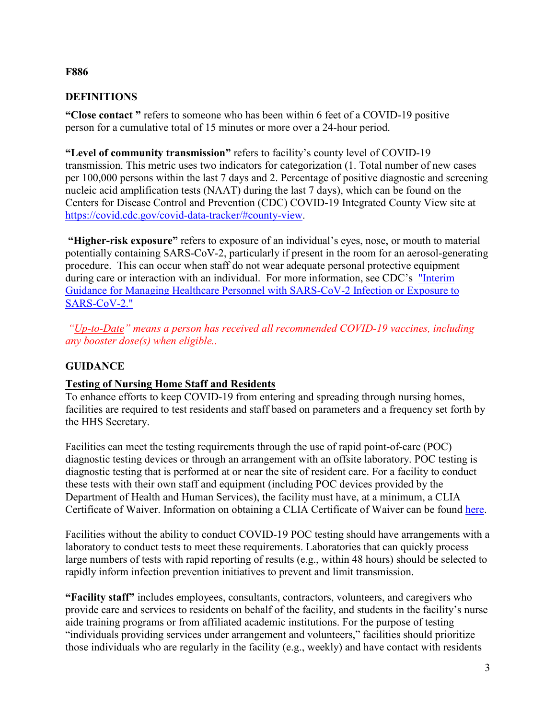#### **F886**

#### **DEFINITIONS**

**"Close contact "** refers to someone who has been within 6 feet of a COVID-19 positive person for a cumulative total of 15 minutes or more over a 24-hour period.

**"Level of community transmission"** refers to facility's county level of COVID-19 transmission. This metric uses two indicators for categorization (1. Total number of new cases per 100,000 persons within the last 7 days and 2. Percentage of positive diagnostic and screening nucleic acid amplification tests (NAAT) during the last 7 days), which can be found on the Centers for Disease Control and Prevention (CDC) COVID-19 Integrated County View site at [https://covid.cdc.gov/covid-data-tracker/#county-view.](https://covid.cdc.gov/covid-data-tracker/#county-view)

**"Higher-risk exposure"** refers to exposure of an individual's eyes, nose, or mouth to material potentially containing SARS-CoV-2, particularly if present in the room for an aerosol-generating procedure. This can occur when staff do not wear adequate personal protective equipment during care or interaction with an individual. For more information, see CDC's ["Interim](https://www.cdc.gov/coronavirus/2019-ncov/hcp/guidance-risk-assesment-hcp.html)  [Guidance for Managing Healthcare Personnel with SARS-CoV-2 Infection or Exposure to](https://www.cdc.gov/coronavirus/2019-ncov/hcp/guidance-risk-assesment-hcp.html)  [SARS-CoV-2."](https://www.cdc.gov/coronavirus/2019-ncov/hcp/guidance-risk-assesment-hcp.html)

*["Up-to-Date"](https://www.cdc.gov/coronavirus/2019-ncov/vaccines/stay-up-to-date.html?CDC_AA_refVal=https%3A%2F%2Fwww.cdc.gov%2Fcoronavirus%2F2019-ncov%2Fvaccines%2Ffully-vaccinated.html#:%7E:text=Up%20to%20Date-,Up%20to%20date,-means%20a%20person) means a person has received all recommended COVID-19 vaccines, including any booster dose(s) when eligible..* 

#### **GUIDANCE**

#### **Testing of Nursing Home Staff and Residents**

To enhance efforts to keep COVID-19 from entering and spreading through nursing homes, facilities are required to test residents and staff based on parameters and a frequency set forth by the HHS Secretary.

Facilities can meet the testing requirements through the use of rapid point-of-care (POC) diagnostic testing devices or through an arrangement with an offsite laboratory. POC testing is diagnostic testing that is performed at or near the site of resident care. For a facility to conduct these tests with their own staff and equipment (including POC devices provided by the Department of Health and Human Services), the facility must have, at a minimum, a CLIA Certificate of Waiver. Information on obtaining a CLIA Certificate of Waiver can be found [here.](https://www.cms.gov/Regulations-and-Guidance/Legislation/CLIA/Downloads/HowObtainCertificateofWaiver.pdf)

Facilities without the ability to conduct COVID-19 POC testing should have arrangements with a laboratory to conduct tests to meet these requirements. Laboratories that can quickly process large numbers of tests with rapid reporting of results (e.g., within 48 hours) should be selected to rapidly inform infection prevention initiatives to prevent and limit transmission.

**"Facility staff"** includes employees, consultants, contractors, volunteers, and caregivers who provide care and services to residents on behalf of the facility, and students in the facility's nurse aide training programs or from affiliated academic institutions. For the purpose of testing "individuals providing services under arrangement and volunteers," facilities should prioritize those individuals who are regularly in the facility (e.g., weekly) and have contact with residents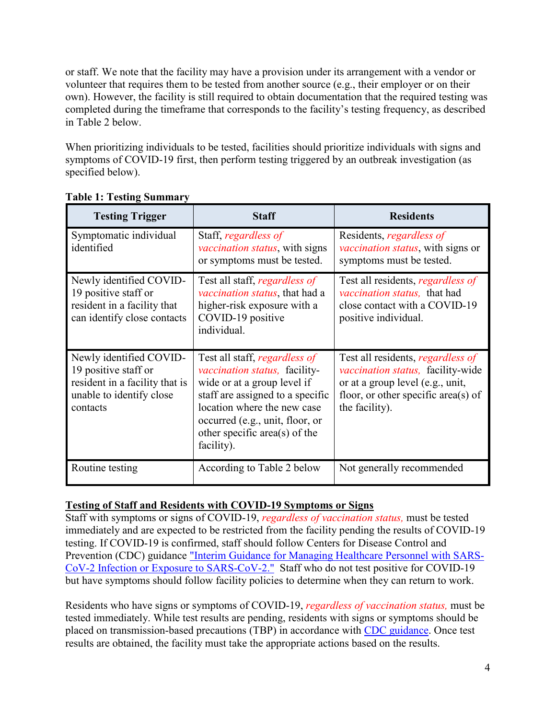or staff. We note that the facility may have a provision under its arrangement with a vendor or volunteer that requires them to be tested from another source (e.g., their employer or on their own). However, the facility is still required to obtain documentation that the required testing was completed during the timeframe that corresponds to the facility's testing frequency, as described in Table 2 below.

When prioritizing individuals to be tested, facilities should prioritize individuals with signs and symptoms of COVID-19 first, then perform testing triggered by an outbreak investigation (as specified below).

| <b>Testing Trigger</b>                                                                                                    | <b>Staff</b>                                                                                                                                                                                                                                                      | <b>Residents</b>                                                                                                                                                           |
|---------------------------------------------------------------------------------------------------------------------------|-------------------------------------------------------------------------------------------------------------------------------------------------------------------------------------------------------------------------------------------------------------------|----------------------------------------------------------------------------------------------------------------------------------------------------------------------------|
| Symptomatic individual<br>identified                                                                                      | Staff, regardless of<br><i>vaccination status</i> , with signs<br>or symptoms must be tested.                                                                                                                                                                     | Residents, regardless of<br><i>vaccination status</i> , with signs or<br>symptoms must be tested.                                                                          |
| Newly identified COVID-<br>19 positive staff or<br>resident in a facility that<br>can identify close contacts             | Test all staff, regardless of<br>vaccination status, that had a<br>higher-risk exposure with a<br>COVID-19 positive<br>individual.                                                                                                                                | Test all residents, <i>regardless of</i><br>vaccination status, that had<br>close contact with a COVID-19<br>positive individual.                                          |
| Newly identified COVID-<br>19 positive staff or<br>resident in a facility that is<br>unable to identify close<br>contacts | Test all staff, <i>regardless of</i><br><i>vaccination status</i> , facility-<br>wide or at a group level if<br>staff are assigned to a specific<br>location where the new case<br>occurred (e.g., unit, floor, or<br>other specific area(s) of the<br>facility). | Test all residents, <i>regardless of</i><br>vaccination status, facility-wide<br>or at a group level (e.g., unit,<br>floor, or other specific area(s) of<br>the facility). |
| Routine testing                                                                                                           | According to Table 2 below                                                                                                                                                                                                                                        | Not generally recommended                                                                                                                                                  |

## **Table 1: Testing Summary**

#### **Testing of Staff and Residents with COVID-19 Symptoms or Signs**

Staff with symptoms or signs of COVID-19, *regardless of vaccination status,* must be tested immediately and are expected to be restricted from the facility pending the results of COVID-19 testing. If COVID-19 is confirmed, staff should follow Centers for Disease Control and Prevention (CDC) guidance ["Interim Guidance for Managing Healthcare Personnel with SARS-](https://www.cdc.gov/coronavirus/2019-ncov/hcp/guidance-risk-assesment-hcp.html)[CoV-2 Infection or Exposure to SARS-CoV-2."](https://www.cdc.gov/coronavirus/2019-ncov/hcp/guidance-risk-assesment-hcp.html) Staff who do not test positive for COVID-19 but have symptoms should follow facility policies to determine when they can return to work.

Residents who have signs or symptoms of COVID-19, *regardless of vaccination status,* must be tested immediately. While test results are pending, residents with signs or symptoms should be placed on transmission-based precautions (TBP) in accordance with [CDC guidance.](https://www.cdc.gov/coronavirus/2019-ncov/hcp/long-term-care.html#:%7E:text=Create%20a%20Plan%20for%20Testing%20Residents%20and%20HCP%20for%20SARS%2DCoV%2D2) Once test results are obtained, the facility must take the appropriate actions based on the results.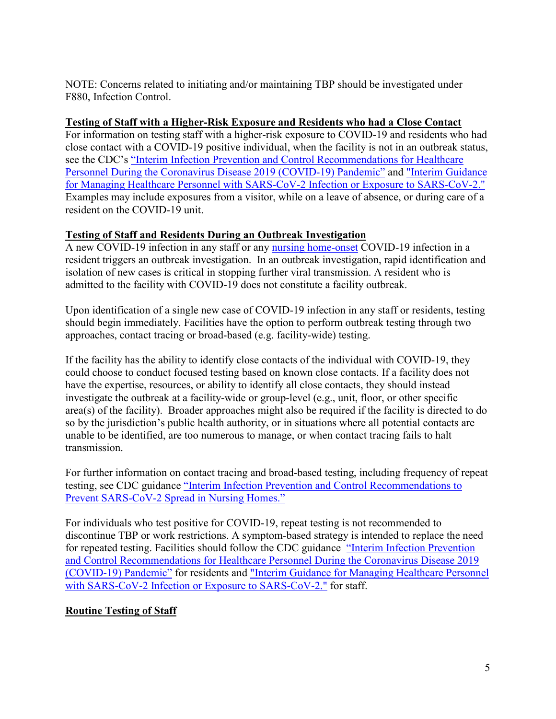NOTE: Concerns related to initiating and/or maintaining TBP should be investigated under F880, Infection Control.

### **Testing of Staff with a Higher-Risk Exposure and Residents who had a Close Contact**

For information on testing staff with a higher-risk exposure to COVID-19 and residents who had close contact with a COVID-19 positive individual, when the facility is not in an outbreak status, see the CDC's ["Interim Infection Prevention and Control Recommendations for Healthcare](https://www.cdc.gov/coronavirus/2019-ncov/hcp/infection-control-recommendations.html)  [Personnel During the Coronavirus Disease 2019 \(COVID-19\) Pandemic"](https://www.cdc.gov/coronavirus/2019-ncov/hcp/infection-control-recommendations.html) and ["Interim Guidance](https://www.cdc.gov/coronavirus/2019-ncov/hcp/guidance-risk-assesment-hcp.html)  [for Managing Healthcare Personnel with SARS-CoV-2 Infection or Exposure to SARS-CoV-2."](https://www.cdc.gov/coronavirus/2019-ncov/hcp/guidance-risk-assesment-hcp.html) Examples may include exposures from a visitor, while on a leave of absence, or during care of a resident on the COVID-19 unit.

## **Testing of Staff and Residents During an Outbreak Investigation**

A new COVID-19 infection in any staff or any [nursing home-onset](https://www.cdc.gov/coronavirus/2019-ncov/hcp/long-term-care.html) COVID-19 infection in a resident triggers an outbreak investigation. In an outbreak investigation, rapid identification and isolation of new cases is critical in stopping further viral transmission. A resident who is admitted to the facility with COVID-19 does not constitute a facility outbreak.

Upon identification of a single new case of COVID-19 infection in any staff or residents, testing should begin immediately. Facilities have the option to perform outbreak testing through two approaches, contact tracing or broad-based (e.g. facility-wide) testing.

If the facility has the ability to identify close contacts of the individual with COVID-19, they could choose to conduct focused testing based on known close contacts. If a facility does not have the expertise, resources, or ability to identify all close contacts, they should instead investigate the outbreak at a facility-wide or group-level (e.g., unit, floor, or other specific area(s) of the facility). Broader approaches might also be required if the facility is directed to do so by the jurisdiction's public health authority, or in situations where all potential contacts are unable to be identified, are too numerous to manage, or when contact tracing fails to halt transmission.

For further information on contact tracing and broad-based testing, including frequency of repeat testing, see CDC guidance ["Interim Infection Prevention and Control Recommendations to](https://www.cdc.gov/coronavirus/2019-ncov/hcp/long-term-care.html#:%7E:text=New%20Infection%20in%20Healthcare%20Personnel%20or%20Residents)  [Prevent SARS-CoV-2 Spread in Nursing Homes."](https://www.cdc.gov/coronavirus/2019-ncov/hcp/long-term-care.html#:%7E:text=New%20Infection%20in%20Healthcare%20Personnel%20or%20Residents)

For individuals who test positive for COVID-19, repeat testing is not recommended to discontinue TBP or work restrictions. A symptom-based strategy is intended to replace the need for repeated testing. Facilities should follow the CDC guidance ["Interim Infection Prevention](https://www.cdc.gov/coronavirus/2019-ncov/hcp/infection-control-recommendations.html#:%7E:text=in%20the%20facility.-,Duration%20of%20Transmission%2DBased%20Precautions,-The%20following%20are)  and Control Recommendations for [Healthcare Personnel During the Coronavirus Disease 2019](https://www.cdc.gov/coronavirus/2019-ncov/hcp/infection-control-recommendations.html#:%7E:text=in%20the%20facility.-,Duration%20of%20Transmission%2DBased%20Precautions,-The%20following%20are)  [\(COVID-19\) Pandemic"](https://www.cdc.gov/coronavirus/2019-ncov/hcp/infection-control-recommendations.html#:%7E:text=in%20the%20facility.-,Duration%20of%20Transmission%2DBased%20Precautions,-The%20following%20are) for residents and ["Interim Guidance for Managing Healthcare Personnel](https://www.cdc.gov/coronavirus/2019-ncov/hcp/guidance-risk-assesment-hcp.html)  [with SARS-CoV-2 Infection or Exposure to SARS-CoV-2."](https://www.cdc.gov/coronavirus/2019-ncov/hcp/guidance-risk-assesment-hcp.html) for staff.

# **Routine Testing of Staff**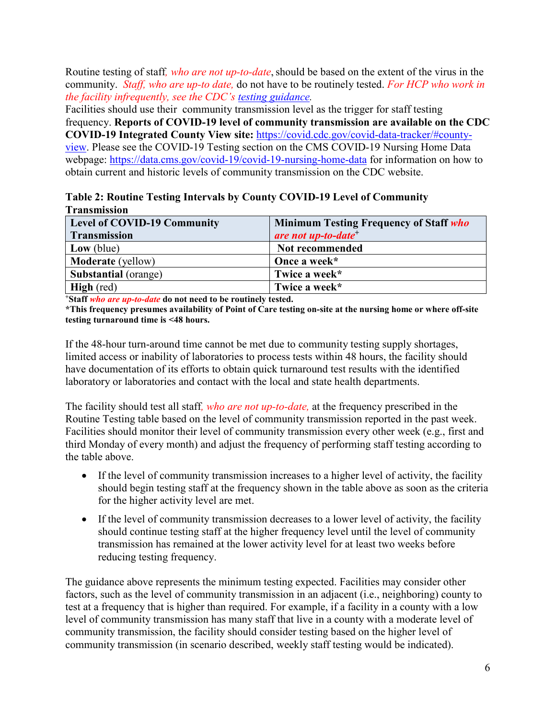Routine testing of staff, who are not up-to-date, should be based on the extent of the virus in the community. *Staff, who are up-to date,* do not have to be routinely tested. *For HCP who work in the facility infrequently, see the CDC's [testing guidance.](https://www.cdc.gov/coronavirus/2019-ncov/hcp/long-term-care.html#:%7E:text=Expanded%20screening%20testing%20of%20asymptomatic%20HCP%20should%20be%20as%20follows%3A)*

Facilities should use their community transmission level as the trigger for staff testing frequency. **Reports of COVID-19 level of community transmission are available on the CDC COVID-19 Integrated County View site:** [https://covid.cdc.gov/covid-data-tracker/#county](https://covid.cdc.gov/covid-data-tracker/#county-view)[view.](https://covid.cdc.gov/covid-data-tracker/#county-view) Please see the COVID-19 Testing section on the CMS COVID-19 Nursing Home Data webpage: <https://data.cms.gov/covid-19/covid-19-nursing-home-data> for information on how to obtain current and historic levels of community transmission on the CDC website.

**Table 2: Routine Testing Intervals by County COVID-19 Level of Community Transmission**

| <b>Level of COVID-19 Community</b><br><b>Transmission</b> | Minimum Testing Frequency of Staff who<br>are not up-to-date <sup>+</sup> |
|-----------------------------------------------------------|---------------------------------------------------------------------------|
| Low (blue)                                                | Not recommended                                                           |
| <b>Moderate</b> (yellow)                                  | Once a week*                                                              |
| Substantial (orange)                                      | Twice a week*                                                             |
| <b>High</b> (red)                                         | Twice a week*                                                             |

**+Staff** *who are up-to-date* **do not need to be routinely tested.**

**\*This frequency presumes availability of Point of Care testing on-site at the nursing home or where off-site testing turnaround time is <48 hours.**

If the 48-hour turn-around time cannot be met due to community testing supply shortages, limited access or inability of laboratories to process tests within 48 hours, the facility should have documentation of its efforts to obtain quick turnaround test results with the identified laboratory or laboratories and contact with the local and state health departments.

The facility should test all staff*, who are not up-to-date,* at the frequency prescribed in the Routine Testing table based on the level of community transmission reported in the past week. Facilities should monitor their level of community transmission every other week (e.g., first and third Monday of every month) and adjust the frequency of performing staff testing according to the table above.

- If the level of community transmission increases to a higher level of activity, the facility should begin testing staff at the frequency shown in the table above as soon as the criteria for the higher activity level are met.
- If the level of community transmission decreases to a lower level of activity, the facility should continue testing staff at the higher frequency level until the level of community transmission has remained at the lower activity level for at least two weeks before reducing testing frequency.

The guidance above represents the minimum testing expected. Facilities may consider other factors, such as the level of community transmission in an adjacent (i.e., neighboring) county to test at a frequency that is higher than required. For example, if a facility in a county with a low level of community transmission has many staff that live in a county with a moderate level of community transmission, the facility should consider testing based on the higher level of community transmission (in scenario described, weekly staff testing would be indicated).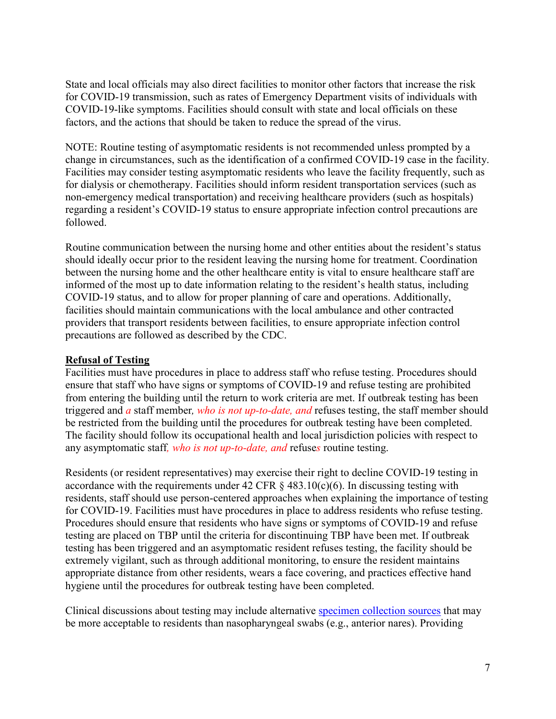State and local officials may also direct facilities to monitor other factors that increase the risk for COVID-19 transmission, such as rates of Emergency Department visits of individuals with COVID-19-like symptoms. Facilities should consult with state and local officials on these factors, and the actions that should be taken to reduce the spread of the virus.

NOTE: Routine testing of asymptomatic residents is not recommended unless prompted by a change in circumstances, such as the identification of a confirmed COVID-19 case in the facility. Facilities may consider testing asymptomatic residents who leave the facility frequently, such as for dialysis or chemotherapy. Facilities should inform resident transportation services (such as non-emergency medical transportation) and receiving healthcare providers (such as hospitals) regarding a resident's COVID-19 status to ensure appropriate infection control precautions are followed.

Routine communication between the nursing home and other entities about the resident's status should ideally occur prior to the resident leaving the nursing home for treatment. Coordination between the nursing home and the other healthcare entity is vital to ensure healthcare staff are informed of the most up to date information relating to the resident's health status, including COVID-19 status, and to allow for proper planning of care and operations. Additionally, facilities should maintain communications with the local ambulance and other contracted providers that transport residents between facilities, to ensure appropriate infection control precautions are followed as described by the CDC.

#### **Refusal of Testing**

Facilities must have procedures in place to address staff who refuse testing. Procedures should ensure that staff who have signs or symptoms of COVID-19 and refuse testing are prohibited from entering the building until the return to work criteria are met. If outbreak testing has been triggered and *a* staff member*, who is not up-to-date, and* refuses testing, the staff member should be restricted from the building until the procedures for outbreak testing have been completed. The facility should follow its occupational health and local jurisdiction policies with respect to any asymptomatic staff*, who is not up-to-date, and* refuse*s* routine testing.

Residents (or resident representatives) may exercise their right to decline COVID-19 testing in accordance with the requirements under 42 CFR  $\S$  483.10(c)(6). In discussing testing with residents, staff should use person-centered approaches when explaining the importance of testing for COVID-19. Facilities must have procedures in place to address residents who refuse testing. Procedures should ensure that residents who have signs or symptoms of COVID-19 and refuse testing are placed on TBP until the criteria for discontinuing TBP have been met. If outbreak testing has been triggered and an asymptomatic resident refuses testing, the facility should be extremely vigilant, such as through additional monitoring, to ensure the resident maintains appropriate distance from other residents, wears a face covering, and practices effective hand hygiene until the procedures for outbreak testing have been completed.

Clinical discussions about testing may include alternative [specimen collection sources](https://www.cdc.gov/coronavirus/2019-nCoV/lab/guidelines-clinical-specimens.html) that may be more acceptable to residents than nasopharyngeal swabs (e.g., anterior nares). Providing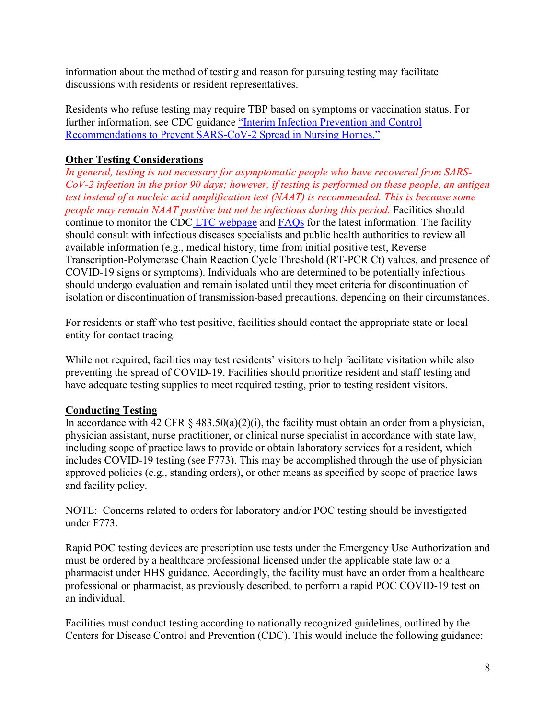information about the method of testing and reason for pursuing testing may facilitate discussions with residents or resident representatives.

Residents who refuse testing may require TBP based on symptoms or vaccination status. For further information, see CDC guidance ["Interim Infection Prevention and Control](https://www.cdc.gov/coronavirus/2019-ncov/hcp/long-term-care.html)  [Recommendations to Prevent SARS-CoV-2 Spread in Nursing Homes."](https://www.cdc.gov/coronavirus/2019-ncov/hcp/long-term-care.html)

### **Other Testing Considerations**

*In general, testing is not necessary for asymptomatic people who have recovered from SARS-CoV-2 infection in the prior 90 days; however, if testing is performed on these people, an antigen test instead of a nucleic acid amplification test (NAAT) is recommended. This is because some people may remain NAAT positive but not be infectious during this period.* Facilities should continue to monitor the CDC [LTC webpage](https://www.cdc.gov/coronavirus/2019-ncov/hcp/long-term-care.html) and [FAQs](https://www.cdc.gov/coronavirus/2019-ncov/hcp/faq.html#:%7E:text=Top%20of%20Page-,Testing%2C%20Diagnosis%2C%20and%20Notification,-How%20do%20you) for the latest information. The facility should consult with infectious diseases specialists and public health authorities to review all available information (e.g., medical history, time from initial positive test, Reverse Transcription-Polymerase Chain Reaction Cycle Threshold (RT-PCR Ct) values, and presence of COVID-19 signs or symptoms). Individuals who are determined to be potentially infectious should undergo evaluation and remain isolated until they meet criteria for discontinuation of isolation or discontinuation of transmission-based precautions, depending on their circumstances.

For residents or staff who test positive, facilities should contact the appropriate state or local entity for contact tracing.

While not required, facilities may test residents' visitors to help facilitate visitation while also preventing the spread of COVID-19. Facilities should prioritize resident and staff testing and have adequate testing supplies to meet required testing, prior to testing resident visitors.

#### **Conducting Testing**

In accordance with 42 CFR § 483.50(a)(2)(i), the facility must obtain an order from a physician, physician assistant, nurse practitioner, or clinical nurse specialist in accordance with state law, including scope of practice laws to provide or obtain laboratory services for a resident, which includes COVID-19 testing (see F773). This may be accomplished through the use of physician approved policies (e.g., standing orders), or other means as specified by scope of practice laws and facility policy.

NOTE: Concerns related to orders for laboratory and/or POC testing should be investigated under F773.

Rapid POC testing devices are prescription use tests under the Emergency Use Authorization and must be ordered by a healthcare professional licensed under the applicable state law or a pharmacist under HHS guidance. Accordingly, the facility must have an order from a healthcare professional or pharmacist, as previously described, to perform a rapid POC COVID-19 test on an individual.

Facilities must conduct testing according to nationally recognized guidelines, outlined by the Centers for Disease Control and Prevention (CDC). This would include the following guidance: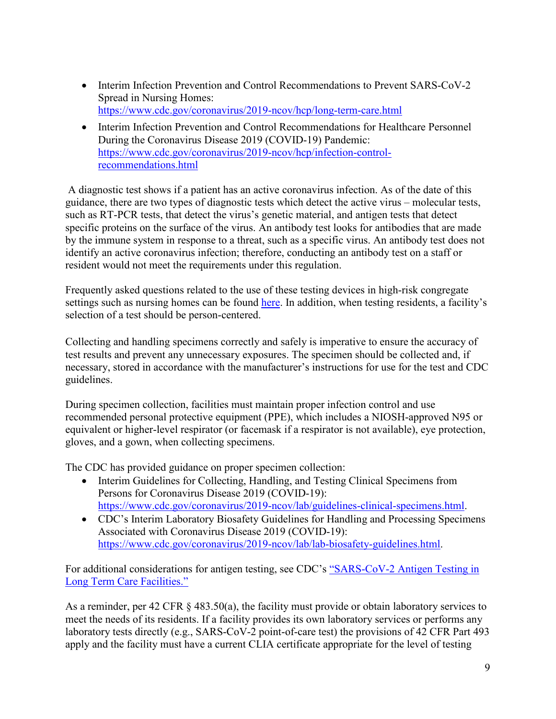- Interim Infection Prevention and Control Recommendations to Prevent SARS-CoV-2 Spread in Nursing Homes: <https://www.cdc.gov/coronavirus/2019-ncov/hcp/long-term-care.html>
- Interim Infection Prevention and Control Recommendations for Healthcare Personnel During the Coronavirus Disease 2019 (COVID-19) Pandemic: [https://www.cdc.gov/coronavirus/2019-ncov/hcp/infection-control](https://www.cdc.gov/coronavirus/2019-ncov/hcp/infection-control-recommendations.html)[recommendations.html](https://www.cdc.gov/coronavirus/2019-ncov/hcp/infection-control-recommendations.html)

A diagnostic test shows if a patient has an active coronavirus infection. As of the date of this guidance, there are two types of diagnostic tests which detect the active virus – molecular tests, such as RT-PCR tests, that detect the virus's genetic material, and antigen tests that detect specific proteins on the surface of the virus. An antibody test looks for antibodies that are made by the immune system in response to a threat, such as a specific virus. An antibody test does not identify an active coronavirus infection; therefore, conducting an antibody test on a staff or resident would not meet the requirements under this regulation.

Frequently asked questions related to the use of these testing devices in high-risk congregate settings such as nursing homes can be found [here.](https://www.cms.gov/files/document/clia-laboratory-covid-19-emergency-frequently-asked-questions.pdf) In addition, when testing residents, a facility's selection of a test should be person-centered.

Collecting and handling specimens correctly and safely is imperative to ensure the accuracy of test results and prevent any unnecessary exposures. The specimen should be collected and, if necessary, stored in accordance with the manufacturer's instructions for use for the test and CDC guidelines.

During specimen collection, facilities must maintain proper infection control and use recommended personal protective equipment (PPE), which includes a NIOSH-approved N95 or equivalent or higher-level respirator (or facemask if a respirator is not available), eye protection, gloves, and a gown, when collecting specimens.

The CDC has provided guidance on proper specimen collection:

- Interim Guidelines for Collecting, Handling, and Testing Clinical Specimens from Persons for Coronavirus Disease 2019 (COVID-19): [https://www.cdc.gov/coronavirus/2019-ncov/lab/guidelines-clinical-specimens.html.](https://www.cdc.gov/coronavirus/2019-ncov/lab/guidelines-clinical-specimens.html)
- CDC's Interim Laboratory Biosafety Guidelines for Handling and Processing Specimens Associated with Coronavirus Disease 2019 (COVID-19): [https://www.cdc.gov/coronavirus/2019-ncov/lab/lab-biosafety-guidelines.html.](https://www.cdc.gov/coronavirus/2019-ncov/lab/lab-biosafety-guidelines.html)

For additional considerations for antigen testing, see CDC's ["SARS-CoV-2 Antigen Testing in](https://www.cdc.gov/coronavirus/2019-ncov/hcp/nursing-homes-antigen-testing.html)  [Long Term Care Facilities."](https://www.cdc.gov/coronavirus/2019-ncov/hcp/nursing-homes-antigen-testing.html)

As a reminder, per 42 CFR § 483.50(a), the facility must provide or obtain laboratory services to meet the needs of its residents. If a facility provides its own laboratory services or performs any laboratory tests directly (e.g., SARS-CoV-2 point-of-care test) the provisions of 42 CFR Part 493 apply and the facility must have a current CLIA certificate appropriate for the level of testing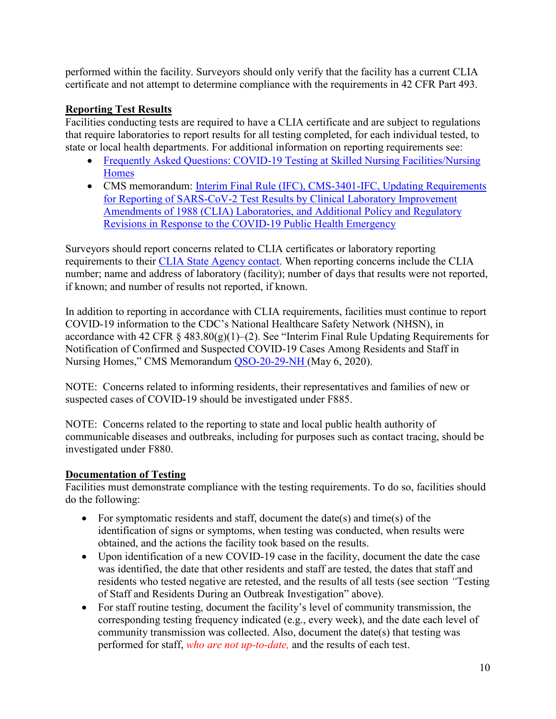performed within the facility. Surveyors should only verify that the facility has a current CLIA certificate and not attempt to determine compliance with the requirements in 42 CFR Part 493.

### **Reporting Test Results**

Facilities conducting tests are required to have a CLIA certificate and are subject to regulations that require laboratories to report results for all testing completed, for each individual tested, to state or local health departments. For additional information on reporting requirements see:

- Frequently Asked Questions: COVID-19 Testing at Skilled Nursing Facilities/Nursing [Homes](https://www.cms.gov/files/document/covid-faqs-snf-testing.pdf)
- CMS memorandum: Interim Final Rule (IFC), CMS-3401-IFC, Updating Requirements [for Reporting of SARS-CoV-2 Test Results by Clinical Laboratory Improvement](https://www.cms.gov/medicareprovider-enrollment-and-certificationsurveycertificationgeninfopolicy-and-memos-states-and/interim-final-rule-ifc-cms-3401-ifc-updating-requirements-reporting-sars-cov-2-test-results-clia)  [Amendments of 1988 \(CLIA\) Laboratories, and Additional Policy and Regulatory](https://www.cms.gov/medicareprovider-enrollment-and-certificationsurveycertificationgeninfopolicy-and-memos-states-and/interim-final-rule-ifc-cms-3401-ifc-updating-requirements-reporting-sars-cov-2-test-results-clia)  [Revisions in Response to the COVID-19 Public](https://www.cms.gov/medicareprovider-enrollment-and-certificationsurveycertificationgeninfopolicy-and-memos-states-and/interim-final-rule-ifc-cms-3401-ifc-updating-requirements-reporting-sars-cov-2-test-results-clia) Health Emergency

Surveyors should report concerns related to CLIA certificates or laboratory reporting requirements to their [CLIA State Agency contact.](https://www.cms.gov/Regulations-and-Guidance/Legislation/CLIA/Downloads/CLIASA.pdf) When reporting concerns include the CLIA number; name and address of laboratory (facility); number of days that results were not reported, if known; and number of results not reported, if known.

In addition to reporting in accordance with CLIA requirements, facilities must continue to report COVID-19 information to the CDC's National Healthcare Safety Network (NHSN), in accordance with 42 CFR  $\S$  483.80(g)(1)–(2). See "Interim Final Rule Updating Requirements for Notification of Confirmed and Suspected COVID-19 Cases Among Residents and Staff in Nursing Homes," CMS Memorandum [QSO-20-29-NH](https://www.cms.gov/files/document/qso-20-29-nh.pdf) (May 6, 2020).

NOTE: Concerns related to informing residents, their representatives and families of new or suspected cases of COVID-19 should be investigated under F885.

NOTE: Concerns related to the reporting to state and local public health authority of communicable diseases and outbreaks, including for purposes such as contact tracing, should be investigated under F880.

## **Documentation of Testing**

Facilities must demonstrate compliance with the testing requirements. To do so, facilities should do the following:

- For symptomatic residents and staff, document the date(s) and time(s) of the identification of signs or symptoms, when testing was conducted, when results were obtained, and the actions the facility took based on the results.
- Upon identification of a new COVID-19 case in the facility, document the date the case was identified, the date that other residents and staff are tested, the dates that staff and residents who tested negative are retested, and the results of all tests (see section *"*Testing of Staff and Residents During an Outbreak Investigation" above).
- For staff routine testing, document the facility's level of community transmission, the corresponding testing frequency indicated (e.g., every week), and the date each level of community transmission was collected. Also, document the date(s) that testing was performed for staff, *who are not up-to-date,* and the results of each test.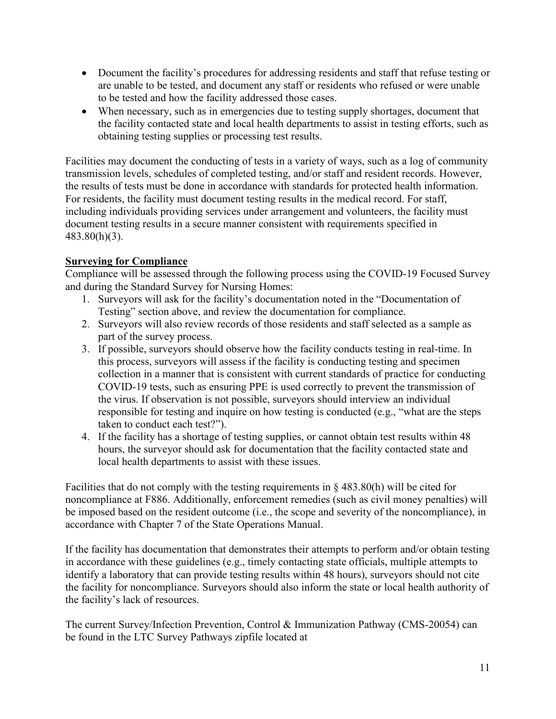- Document the facility's procedures for addressing residents and staff that refuse testing or are unable to be tested, and document any staff or residents who refused or were unable to be tested and how the facility addressed those cases.
- When necessary, such as in emergencies due to testing supply shortages, document that the facility contacted state and local health departments to assist in testing efforts, such as obtaining testing supplies or processing test results.

Facilities may document the conducting of tests in a variety of ways, such as a log of community transmission levels, schedules of completed testing, and/or staff and resident records. However, the results of tests must be done in accordance with standards for protected health information. For residents, the facility must document testing results in the medical record. For staff, including individuals providing services under arrangement and volunteers, the facility must document testing results in a secure manner consistent with requirements specified in 483.80(h)(3).

## **Surveying for Compliance**

Compliance will be assessed through the following process using the COVID-19 Focused Survey and during the Standard Survey for Nursing Homes:

- 1. Surveyors will ask for the facility's documentation noted in the "Documentation of Testing" section above, and review the documentation for compliance.
- 2. Surveyors will also review records of those residents and staff selected as a sample as part of the survey process.
- 3. If possible, surveyors should observe how the facility conducts testing in real-time. In this process, surveyors will assess if the facility is conducting testing and specimen collection in a manner that is consistent with current standards of practice for conducting COVID-19 tests, such as ensuring PPE is used correctly to prevent the transmission of the virus. If observation is not possible, surveyors should interview an individual responsible for testing and inquire on how testing is conducted (e.g., "what are the steps taken to conduct each test?").
- 4. If the facility has a shortage of testing supplies, or cannot obtain test results within 48 hours, the surveyor should ask for documentation that the facility contacted state and local health departments to assist with these issues.

Facilities that do not comply with the testing requirements in  $\S$  483.80(h) will be cited for noncompliance at F886. Additionally, enforcement remedies (such as civil money penalties) will be imposed based on the resident outcome (i.e., the scope and severity of the noncompliance), in accordance with Chapter 7 of the State Operations Manual.

If the facility has documentation that demonstrates their attempts to perform and/or obtain testing in accordance with these guidelines (e.g., timely contacting state officials, multiple attempts to identify a laboratory that can provide testing results within 48 hours), surveyors should not cite the facility for noncompliance. Surveyors should also inform the state or local health authority of the facility's lack of resources.

The current Survey/Infection Prevention, Control & Immunization Pathway (CMS-20054) can be found in the LTC Survey Pathways zipfile located at